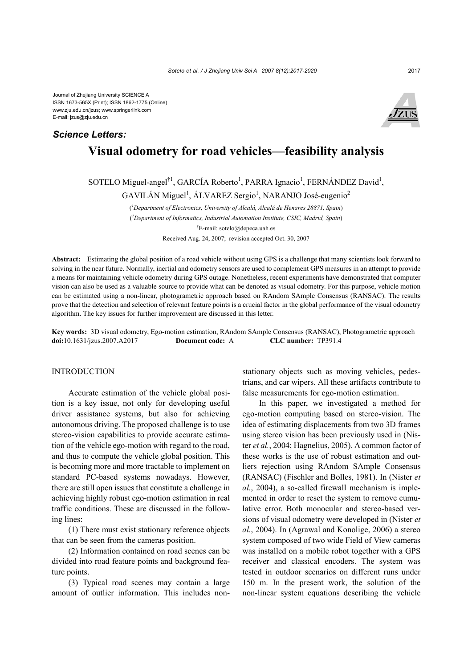Journal of Zhejiang University SCIENCE A ISSN 1673-565X (Print); ISSN 1862-1775 (Online) www.zju.edu.cn/jzus; www.springerlink.com E-mail: jzus@zju.edu.cn

# **Visual odometry for road vehicles—feasibility analysis**  *Science Letters:*

SOTELO Miguel-angel<sup>†1</sup>, GARCÍA Roberto<sup>1</sup>, PARRA Ignacio<sup>1</sup>, FERNÁNDEZ David<sup>1</sup>,

GAVILÁN Miguel<sup>1</sup>, ÁLVAREZ Sergio<sup>1</sup>, NARANJO José-eugenio<sup>2</sup>

( *1 Department of Electronics, University of Alcalá, Alcalá de Henares 28871, Spain*) ( *2 Department of Informatics, Industrial Automation Institute, CSIC, Madrid, Spain*)

† E-mail: sotelo@depeca.uah.es

Received Aug. 24, 2007; revision accepted Oct. 30, 2007

**Abstract:** Estimating the global position of a road vehicle without using GPS is a challenge that many scientists look forward to solving in the near future. Normally, inertial and odometry sensors are used to complement GPS measures in an attempt to provide a means for maintaining vehicle odometry during GPS outage. Nonetheless, recent experiments have demonstrated that computer vision can also be used as a valuable source to provide what can be denoted as visual odometry. For this purpose, vehicle motion can be estimated using a non-linear, photogrametric approach based on RAndom SAmple Consensus (RANSAC). The results prove that the detection and selection of relevant feature points is a crucial factor in the global performance of the visual odometry algorithm. The key issues for further improvement are discussed in this letter.

**Key words:** 3D visual odometry, Ego-motion estimation, RAndom SAmple Consensus (RANSAC), Photogrametric approach **doi:**10.1631/jzus.2007.A2017 **Document code:** A **CLC number:** TP391.4

#### INTRODUCTION

Accurate estimation of the vehicle global position is a key issue, not only for developing useful driver assistance systems, but also for achieving autonomous driving. The proposed challenge is to use stereo-vision capabilities to provide accurate estimation of the vehicle ego-motion with regard to the road, and thus to compute the vehicle global position. This is becoming more and more tractable to implement on standard PC-based systems nowadays. However, there are still open issues that constitute a challenge in achieving highly robust ego-motion estimation in real traffic conditions. These are discussed in the following lines:

(1) There must exist stationary reference objects that can be seen from the cameras position.

(2) Information contained on road scenes can be divided into road feature points and background feature points.

(3) Typical road scenes may contain a large amount of outlier information. This includes nonstationary objects such as moving vehicles, pedestrians, and car wipers. All these artifacts contribute to false measurements for ego-motion estimation.

In this paper, we investigated a method for ego-motion computing based on stereo-vision. The idea of estimating displacements from two 3D frames using stereo vision has been previously used in (Nister *et al.*, 2004; Hagnelius, 2005). A common factor of these works is the use of robust estimation and outliers rejection using RAndom SAmple Consensus (RANSAC) (Fischler and Bolles, 1981). In (Nister *et al.*, 2004), a so-called firewall mechanism is implemented in order to reset the system to remove cumulative error. Both monocular and stereo-based versions of visual odometry were developed in (Nister *et al.*, 2004). In (Agrawal and Konolige, 2006) a stereo system composed of two wide Field of View cameras was installed on a mobile robot together with a GPS receiver and classical encoders. The system was tested in outdoor scenarios on different runs under 150 m. In the present work, the solution of the non-linear system equations describing the vehicle

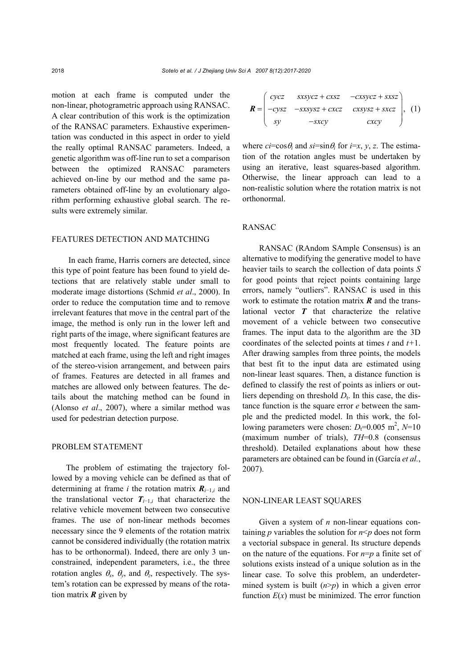motion at each frame is computed under the non-linear, photogrametric approach using RANSAC. A clear contribution of this work is the optimization of the RANSAC parameters. Exhaustive experimentation was conducted in this aspect in order to yield the really optimal RANSAC parameters. Indeed, a genetic algorithm was off-line run to set a comparison between the optimized RANSAC parameters achieved on-line by our method and the same parameters obtained off-line by an evolutionary algorithm performing exhaustive global search. The results were extremely similar.

### FEATURES DETECTION AND MATCHING

In each frame, Harris corners are detected, since this type of point feature has been found to yield detections that are relatively stable under small to moderate image distortions (Schmid *et al*., 2000). In order to reduce the computation time and to remove irrelevant features that move in the central part of the image, the method is only run in the lower left and right parts of the image, where significant features are most frequently located. The feature points are matched at each frame, using the left and right images of the stereo-vision arrangement, and between pairs of frames. Features are detected in all frames and matches are allowed only between features. The details about the matching method can be found in (Alonso *et al*., 2007), where a similar method was used for pedestrian detection purpose.

#### PROBLEM STATEMENT

The problem of estimating the trajectory followed by a moving vehicle can be defined as that of determining at frame *i* the rotation matrix  $\mathbf{R}_{i-1,i}$  and the translational vector  $T_{i-1,i}$  that characterize the relative vehicle movement between two consecutive frames. The use of non-linear methods becomes necessary since the 9 elements of the rotation matrix cannot be considered individually (the rotation matrix has to be orthonormal). Indeed, there are only 3 unconstrained, independent parameters, i.e., the three rotation angles  $\theta_x$ ,  $\theta_y$ , and  $\theta_z$ , respectively. The system's rotation can be expressed by means of the rotation matrix  $\boldsymbol{R}$  given by

$$
\boldsymbol{R} = \begin{pmatrix} cycz & sxsycz + cxsz & -cxsycz + sxsz \\ -cysz & -sssysz + cxcz & cxsysz + sxcz \\ sy & -sxcy & cxcy \end{pmatrix}, (1)
$$

where  $ci = \cos \theta_i$  and  $si = \sin \theta_i$  for  $i = x, y, z$ . The estimation of the rotation angles must be undertaken by using an iterative, least squares-based algorithm. Otherwise, the linear approach can lead to a non-realistic solution where the rotation matrix is not orthonormal.

## RANSAC

RANSAC (RAndom SAmple Consensus) is an alternative to modifying the generative model to have heavier tails to search the collection of data points *S* for good points that reject points containing large errors, namely "outliers". RANSAC is used in this work to estimate the rotation matrix *R* and the translational vector *T* that characterize the relative movement of a vehicle between two consecutive frames. The input data to the algorithm are the 3D coordinates of the selected points at times *t* and *t+*1. After drawing samples from three points, the models that best fit to the input data are estimated using non-linear least squares. Then, a distance function is defined to classify the rest of points as inliers or outliers depending on threshold  $D_t$ . In this case, the distance function is the square error *e* between the sample and the predicted model. In this work, the following parameters were chosen:  $D_t=0.005$  m<sup>2</sup>,  $N=10$ (maximum number of trials), *TH*=0.8 (consensus threshold). Detailed explanations about how these parameters are obtained can be found in (García *et al.*, 2007).

#### NON-LINEAR LEAST SQUARES

Given a system of *n* non-linear equations containing *p* variables the solution for  $n \leq p$  does not form a vectorial subspace in general. Its structure depends on the nature of the equations. For *n*=*p* a finite set of solutions exists instead of a unique solution as in the linear case. To solve this problem, an underdetermined system is built  $(n>p)$  in which a given error function  $E(x)$  must be minimized. The error function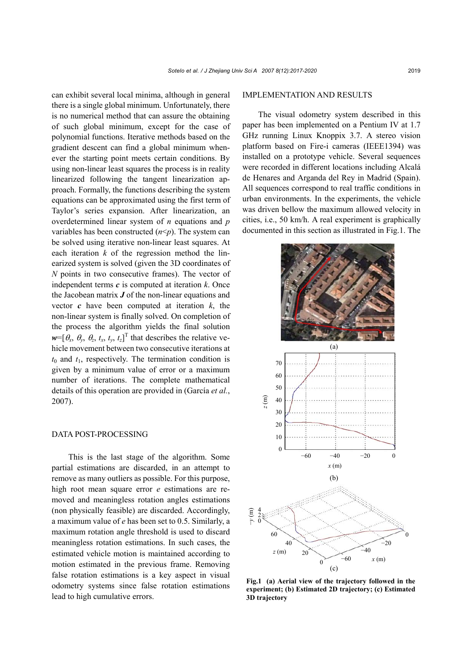can exhibit several local minima, although in general there is a single global minimum. Unfortunately, there is no numerical method that can assure the obtaining of such global minimum, except for the case of polynomial functions. Iterative methods based on the gradient descent can find a global minimum whenever the starting point meets certain conditions. By using non-linear least squares the process is in reality linearized following the tangent linearization approach. Formally, the functions describing the system equations can be approximated using the first term of Taylor's series expansion. After linearization, an overdetermined linear system of *n* equations and *p* variables has been constructed (*n*<*p*). The system can be solved using iterative non-linear least squares. At each iteration *k* of the regression method the linearized system is solved (given the 3D coordinates of *N* points in two consecutive frames). The vector of independent terms *c* is computed at iteration *k*. Once the Jacobean matrix *J* of the non-linear equations and vector  $c$  have been computed at iteration  $k$ , the non-linear system is finally solved. On completion of the process the algorithm yields the final solution  $w=[\theta_x, \theta_y, \theta_z, t_x, t_y, t_z]^T$  that describes the relative vehicle movement between two consecutive iterations at  $t_0$  and  $t_1$ , respectively. The termination condition is given by a minimum value of error or a maximum number of iterations. The complete mathematical details of this operation are provided in (García *et al.*, 2007).

#### DATA POST-PROCESSING

This is the last stage of the algorithm. Some partial estimations are discarded, in an attempt to remove as many outliers as possible. For this purpose, high root mean square error *e* estimations are removed and meaningless rotation angles estimations (non physically feasible) are discarded. Accordingly, a maximum value of *e* has been set to 0.5. Similarly, a maximum rotation angle threshold is used to discard meaningless rotation estimations. In such cases, the estimated vehicle motion is maintained according to motion estimated in the previous frame. Removing false rotation estimations is a key aspect in visual odometry systems since false rotation estimations lead to high cumulative errors.

#### IMPLEMENTATION AND RESULTS

The visual odometry system described in this paper has been implemented on a Pentium IV at 1.7 GHz running Linux Knoppix 3.7. A stereo vision platform based on Fire-i cameras (IEEE1394) was installed on a prototype vehicle. Several sequences were recorded in different locations including Alcalá de Henares and Arganda del Rey in Madrid (Spain). All sequences correspond to real traffic conditions in urban environments. In the experiments, the vehicle was driven bellow the maximum allowed velocity in cities, i.e., 50 km/h. A real experiment is graphically documented in this section as illustrated in Fig.1. The



**Fig.1 (a) Aerial view of the trajectory followed in the experiment; (b) Estimated 2D trajectory; (c) Estimated 3D trajectory**